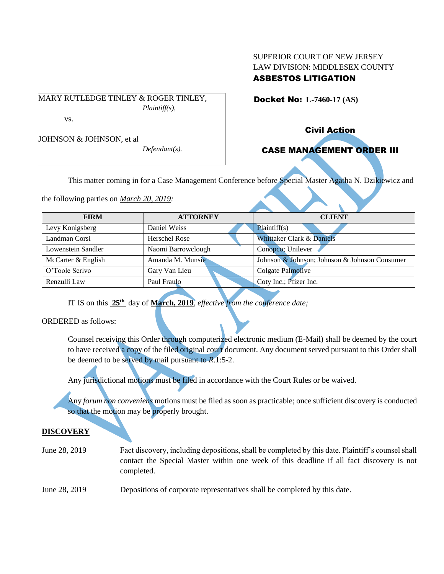### SUPERIOR COURT OF NEW JERSEY LAW DIVISION: MIDDLESEX COUNTY ASBESTOS LITIGATION

Docket No: **L-7460-17 (AS)** 

MARY RUTLEDGE TINLEY & ROGER TINLEY, *Plaintiff(s),*

vs.

JOHNSON & JOHNSON, et al

*Defendant(s).*

# Civil Action

## CASE MANAGEMENT ORDER III

This matter coming in for a Case Management Conference before Special Master Agatha N. Dzikiewicz and

the following parties on *March 20, 2019:*

| Johnson & Johnson; Johnson & Johnson Consumer |
|-----------------------------------------------|
|                                               |
|                                               |
|                                               |

IT IS on this **25th** day of **March, 2019**, *effective from the conference date;*

#### ORDERED as follows:

Counsel receiving this Order through computerized electronic medium (E-Mail) shall be deemed by the court to have received a copy of the filed original court document. Any document served pursuant to this Order shall be deemed to be served by mail pursuant to *R*.1:5-2.

Any jurisdictional motions must be filed in accordance with the Court Rules or be waived.

Any *forum non conveniens* motions must be filed as soon as practicable; once sufficient discovery is conducted so that the motion may be properly brought.

#### **DISCOVERY**

June 28, 2019 Fact discovery, including depositions, shall be completed by this date. Plaintiff's counsel shall contact the Special Master within one week of this deadline if all fact discovery is not completed.

June 28, 2019 Depositions of corporate representatives shall be completed by this date.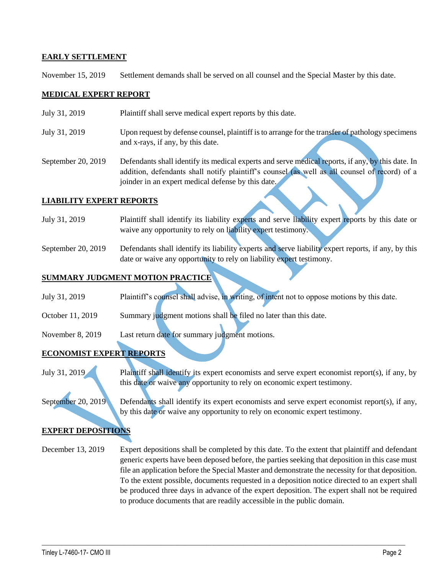#### **EARLY SETTLEMENT**

November 15, 2019 Settlement demands shall be served on all counsel and the Special Master by this date.

#### **MEDICAL EXPERT REPORT**

- July 31, 2019 Plaintiff shall serve medical expert reports by this date.
- July 31, 2019 Upon request by defense counsel, plaintiff is to arrange for the transfer of pathology specimens and x-rays, if any, by this date.
- September 20, 2019 Defendants shall identify its medical experts and serve medical reports, if any, by this date. In addition, defendants shall notify plaintiff's counsel (as well as all counsel of record) of a joinder in an expert medical defense by this date.

#### **LIABILITY EXPERT REPORTS**

- July 31, 2019 Plaintiff shall identify its liability experts and serve liability expert reports by this date or waive any opportunity to rely on liability expert testimony.
- September 20, 2019 Defendants shall identify its liability experts and serve liability expert reports, if any, by this date or waive any opportunity to rely on liability expert testimony.

### **SUMMARY JUDGMENT MOTION PRACTICE**

- July 31, 2019 Plaintiff's counsel shall advise, in writing, of intent not to oppose motions by this date.
- October 11, 2019 Summary judgment motions shall be filed no later than this date.
- November 8, 2019 Last return date for summary judgment motions.

#### **ECONOMIST EXPERT REPORTS**

July 31, 2019 Plaintiff shall identify its expert economists and serve expert economist report(s), if any, by this date or waive any opportunity to rely on economic expert testimony.

September 20, 2019 Defendants shall identify its expert economists and serve expert economist report(s), if any, by this date or waive any opportunity to rely on economic expert testimony.

### **EXPERT DEPOSITIONS**

December 13, 2019 Expert depositions shall be completed by this date. To the extent that plaintiff and defendant generic experts have been deposed before, the parties seeking that deposition in this case must file an application before the Special Master and demonstrate the necessity for that deposition. To the extent possible, documents requested in a deposition notice directed to an expert shall be produced three days in advance of the expert deposition. The expert shall not be required to produce documents that are readily accessible in the public domain.

 $\_$  , and the set of the set of the set of the set of the set of the set of the set of the set of the set of the set of the set of the set of the set of the set of the set of the set of the set of the set of the set of th